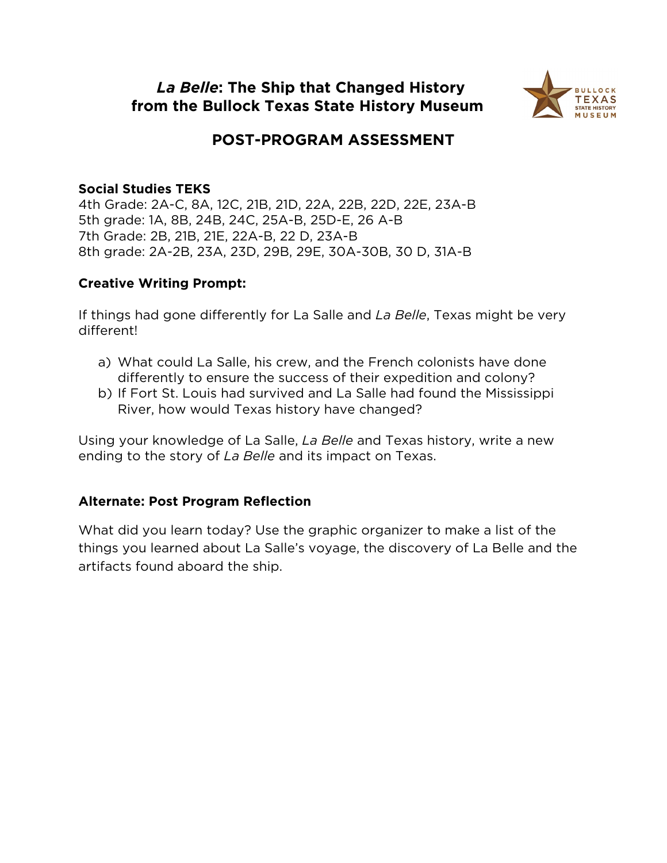### *La Belle***: The Ship that Changed History from the [Bullock Texas State History](https://www.thestoryoftexas.com/education/distance-learning) Museum**



## **POST-PROGRAM ASSESSMENT**

#### **Social Studies TEKS**

4th Grade: 2A-C, 8A, 12C, 21B, 21D, 22A, 22B, 22D, 22E, 23A-B 5th grade: 1A, 8B, 24B, 24C, 25A-B, 25D-E, 26 A-B 7th Grade: 2B, 21B, 21E, 22A-B, 22 D, 23A-B 8th grade: 2A-2B, 23A, 23D, 29B, 29E, 30A-30B, 30 D, 31A-B

#### **Creative Writing Prompt:**

If things had gone differently for La Salle and *La Belle*, Texas might be very different!

- a) What could La Salle, his crew, and the French colonists have done differently to ensure the success of their expedition and colony?
- b) If Fort St. Louis had survived and La Salle had found the Mississippi River, how would Texas history have changed?

Using your knowledge of La Salle, *La Belle* and Texas history, write a new ending to the story of *La Belle* and its impact on Texas.

#### **Alternate: Post Program Reflection**

What did you learn today? Use the graphic organizer to make a list of the things you learned about La Salle's voyage, the discovery of La Belle and the artifacts found aboard the ship.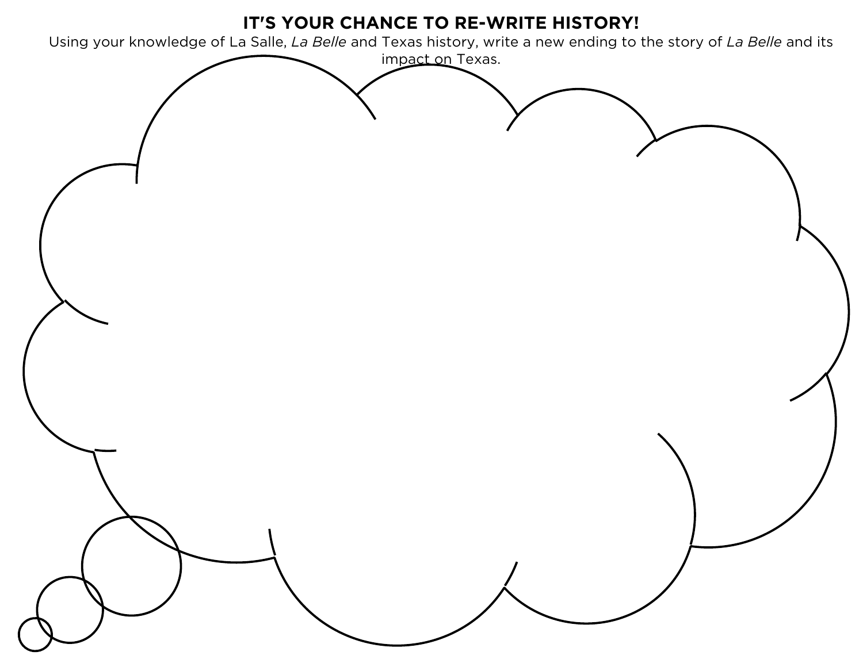